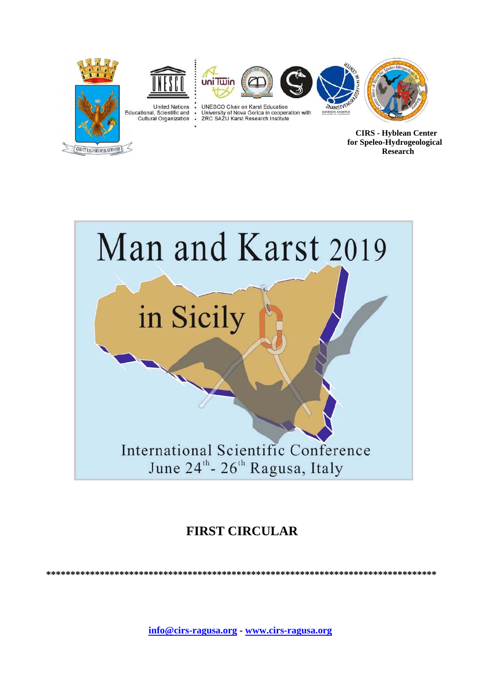

**CREVIT RAGVSIA HYBLAE RVING** 

**CIRS - Hyblean Center** for Speleo-Hydrogeological Research



# **FIRST CIRCULAR**

info@cirs-ragusa.org - www.cirs-ragusa.org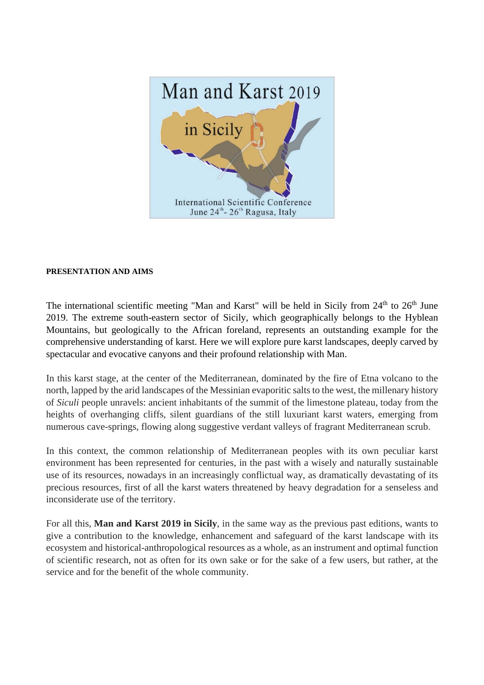

#### **PRESENTATION AND AIMS**

The international scientific meeting "Man and Karst" will be held in Sicily from 24<sup>th</sup> to 26<sup>th</sup> June 2019. The extreme south-eastern sector of Sicily, which geographically belongs to the Hyblean Mountains, but geologically to the African foreland, represents an outstanding example for the comprehensive understanding of karst. Here we will explore pure karst landscapes, deeply carved by spectacular and evocative canyons and their profound relationship with Man.

In this karst stage, at the center of the Mediterranean, dominated by the fire of Etna volcano to the north, lapped by the arid landscapes of the Messinian evaporitic salts to the west, the millenary history of *Siculi* people unravels: ancient inhabitants of the summit of the limestone plateau, today from the heights of overhanging cliffs, silent guardians of the still luxuriant karst waters, emerging from numerous cave-springs, flowing along suggestive verdant valleys of fragrant Mediterranean scrub.

In this context, the common relationship of Mediterranean peoples with its own peculiar karst environment has been represented for centuries, in the past with a wisely and naturally sustainable use of its resources, nowadays in an increasingly conflictual way, as dramatically devastating of its precious resources, first of all the karst waters threatened by heavy degradation for a senseless and inconsiderate use of the territory.

For all this, **Man and Karst 2019 in Sicily**, in the same way as the previous past editions, wants to give a contribution to the knowledge, enhancement and safeguard of the karst landscape with its ecosystem and historical-anthropological resources as a whole, as an instrument and optimal function of scientific research, not as often for its own sake or for the sake of a few users, but rather, at the service and for the benefit of the whole community.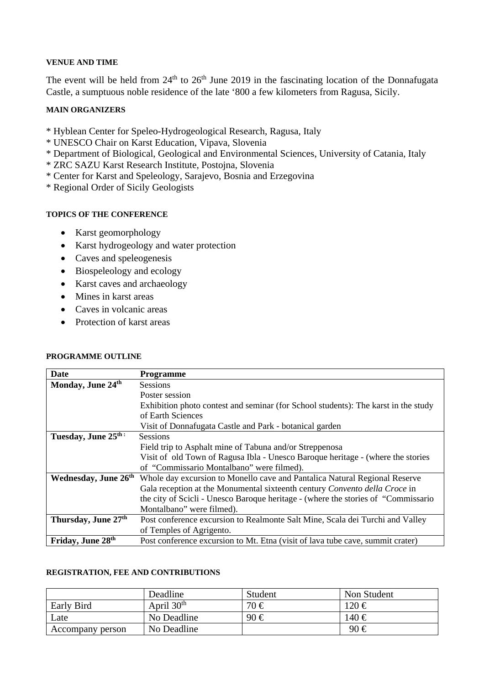#### **VENUE AND TIME**

The event will be held from  $24<sup>th</sup>$  to  $26<sup>th</sup>$  June 2019 in the fascinating location of the Donnafugata Castle, a sumptuous noble residence of the late '800 a few kilometers from Ragusa, Sicily.

### **MAIN ORGANIZERS**

- \* Hyblean Center for Speleo-Hydrogeological Research, Ragusa, Italy
- \* UNESCO Chair on Karst Education, Vipava, Slovenia
- \* Department of Biological, Geological and Environmental Sciences, University of Catania, Italy
- \* ZRC SAZU Karst Research Institute, Postojna, Slovenia
- \* Center for Karst and Speleology, Sarajevo, Bosnia and Erzegovina
- \* Regional Order of Sicily Geologists

#### **TOPICS OF THE CONFERENCE**

- Karst geomorphology
- Karst hydrogeology and water protection
- Caves and speleogenesis
- Biospeleology and ecology
- Karst caves and archaeology
- Mines in karst areas
- Caves in volcanic areas
- Protection of karst areas

| <b>PROGRAMME OUTLINE</b> |  |
|--------------------------|--|
|--------------------------|--|

| Date                             | <b>Programme</b>                                                                   |
|----------------------------------|------------------------------------------------------------------------------------|
| Monday, June 24th                | <b>Sessions</b>                                                                    |
|                                  | Poster session                                                                     |
|                                  | Exhibition photo contest and seminar (for School students): The karst in the study |
|                                  | of Earth Sciences                                                                  |
|                                  | Visit of Donnafugata Castle and Park - botanical garden                            |
| Tuesday, June 25th:              | <b>Sessions</b>                                                                    |
|                                  | Field trip to Asphalt mine of Tabuna and/or Streppenosa                            |
|                                  | Visit of old Town of Ragusa Ibla - Unesco Baroque heritage - (where the stories    |
|                                  | of "Commissario Montalbano" were filmed).                                          |
| Wednesday, June 26 <sup>th</sup> | Whole day excursion to Monello cave and Pantalica Natural Regional Reserve         |
|                                  | Gala reception at the Monumental sixteenth century Convento della Croce in         |
|                                  | the city of Scicli - Unesco Baroque heritage - (where the stories of "Commissario  |
|                                  | Montalbano" were filmed).                                                          |
| Thursday, June 27 <sup>th</sup>  | Post conference excursion to Realmonte Salt Mine, Scala dei Turchi and Valley      |
|                                  | of Temples of Agrigento.                                                           |
| Friday, June 28 <sup>th</sup>    | Post conference excursion to Mt. Etna (visit of lava tube cave, summit crater)     |

#### **REGISTRATION, FEE AND CONTRIBUTIONS**

|                  | Deadline     | Student  | Non Student |
|------------------|--------------|----------|-------------|
| Early Bird       | April $30th$ | $70 \in$ | $120 \in$   |
| Late             | No Deadline  | 90€      | 140 €       |
| Accompany person | No Deadline  |          | 90€         |